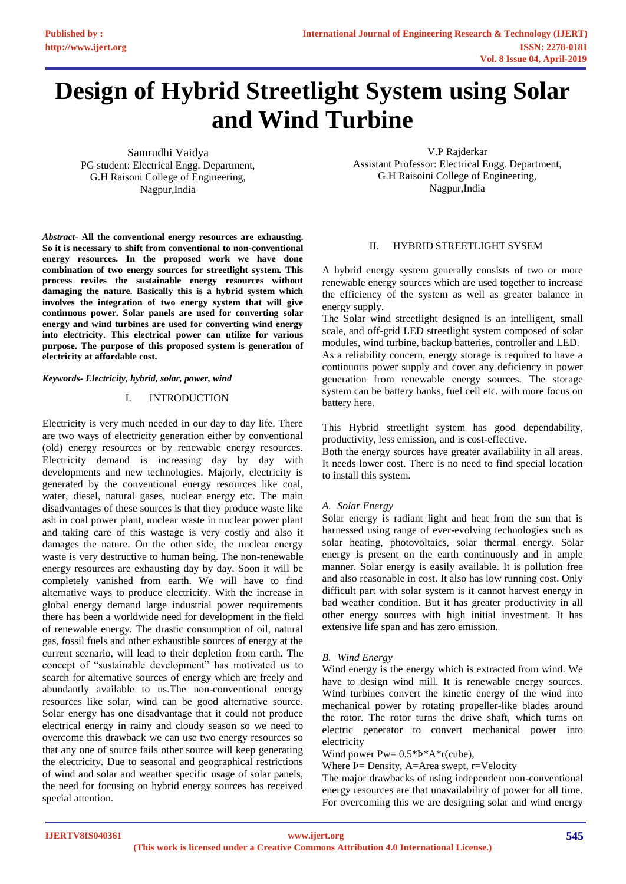# **Design of Hybrid Streetlight System using Solar and Wind Turbine**

Samrudhi Vaidya PG student: Electrical Engg. Department, G.H Raisoni College of Engineering, Nagpur,India

*Abstract***- All the conventional energy resources are exhausting. So it is necessary to shift from conventional to non-conventional energy resources. In the proposed work we have done combination of two energy sources for streetlight system. This process reviles the sustainable energy resources without damaging the nature. Basically this is a hybrid system which involves the integration of two energy system that will give continuous power. Solar panels are used for converting solar energy and wind turbines are used for converting wind energy into electricity. This electrical power can utilize for various purpose. The purpose of this proposed system is generation of electricity at affordable cost.**

## *Keywords- Electricity, hybrid, solar, power, wind*

## I. INTRODUCTION

Electricity is very much needed in our day to day life. There are two ways of electricity generation either by conventional (old) energy resources or by renewable energy resources. Electricity demand is increasing day by day with developments and new technologies. Majorly, electricity is generated by the conventional energy resources like coal, water, diesel, natural gases, nuclear energy etc. The main disadvantages of these sources is that they produce waste like ash in coal power plant, nuclear waste in nuclear power plant and taking care of this wastage is very costly and also it damages the nature. On the other side, the nuclear energy waste is very destructive to human being. The non-renewable energy resources are exhausting day by day. Soon it will be completely vanished from earth. We will have to find alternative ways to produce electricity. With the increase in global energy demand large industrial power requirements there has been a worldwide need for development in the field of renewable energy. The drastic consumption of oil, natural gas, fossil fuels and other exhaustible sources of energy at the current scenario, will lead to their depletion from earth. The concept of "sustainable development" has motivated us to search for alternative sources of energy which are freely and abundantly available to us.The non-conventional energy resources like solar, wind can be good alternative source. Solar energy has one disadvantage that it could not produce electrical energy in rainy and cloudy season so we need to overcome this drawback we can use two energy resources so that any one of source fails other source will keep generating the electricity. Due to seasonal and geographical restrictions of wind and solar and weather specific usage of solar panels, the need for focusing on hybrid energy sources has received special attention.

V.P Rajderkar Assistant Professor: Electrical Engg. Department, G.H Raisoini College of Engineering, Nagpur,India

## II. HYBRID STREETLIGHT SYSEM

A hybrid energy system generally consists of two or more renewable energy sources which are used together to increase the efficiency of the system as well as greater balance in energy supply.

The Solar wind streetlight designed is an intelligent, small scale, and off-grid LED streetlight system composed of solar modules, wind turbine, backup batteries, controller and LED.

As a reliability concern, energy storage is required to have a continuous power supply and cover any deficiency in power generation from renewable energy sources. The storage system can be battery banks, fuel cell etc. with more focus on battery here.

This Hybrid streetlight system has good dependability, productivity, less emission, and is cost-effective.

Both the energy sources have greater availability in all areas. It needs lower cost. There is no need to find special location to install this system.

#### *A. Solar Energy*

Solar energy is radiant light and heat from the sun that is harnessed using range of ever-evolving technologies such as solar heating, photovoltaics, solar thermal energy. Solar energy is present on the earth continuously and in ample manner. Solar energy is easily available. It is pollution free and also reasonable in cost. It also has low running cost. Only difficult part with solar system is it cannot harvest energy in bad weather condition. But it has greater productivity in all other energy sources with high initial investment. It has extensive life span and has zero emission.

#### *B. Wind Energy*

Wind energy is the energy which is extracted from wind. We have to design wind mill. It is renewable energy sources. Wind turbines convert the kinetic energy of the wind into mechanical power by rotating propeller-like blades around the rotor. The rotor turns the drive shaft, which turns on electric generator to convert mechanical power into electricity

Wind power  $Pw= 0.5 * P^*A * r$ (cube),

Where Ϸ= Density, A=Area swept, r=Velocity

The major drawbacks of using independent non-conventional energy resources are that unavailability of power for all time. For overcoming this we are designing solar and wind energy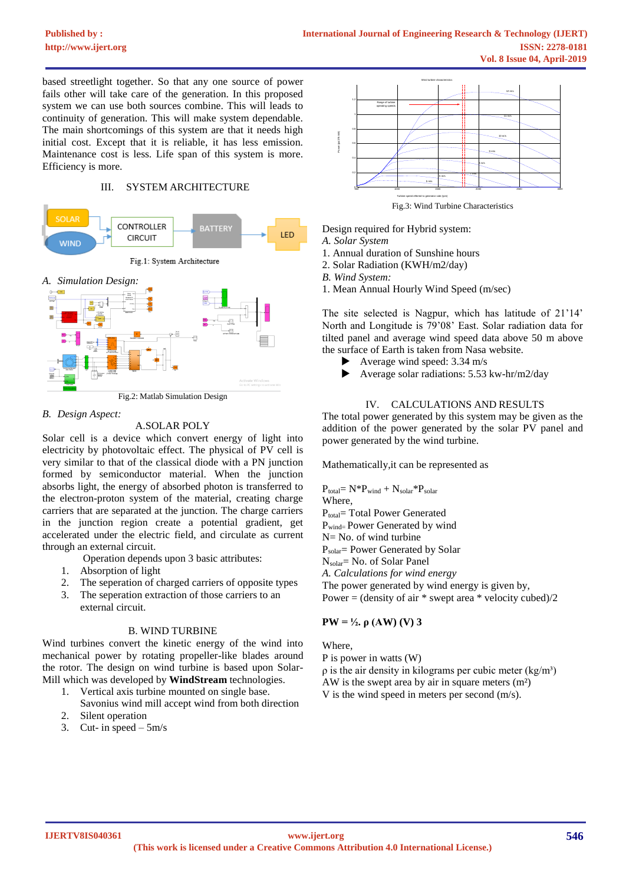based streetlight together. So that any one source of power fails other will take care of the generation. In this proposed system we can use both sources combine. This will leads to continuity of generation. This will make system dependable. The main shortcomings of this system are that it needs high initial cost. Except that it is reliable, it has less emission. Maintenance cost is less. Life span of this system is more. Efficiency is more.

## III. SYSTEM ARCHITECTURE



Fig.2: Matlab Simulation Design

## *B. Design Aspect:*

# A.SOLAR POLY

Solar cell is a device which convert energy of light into electricity by photovoltaic effect. The physical of PV cell is very similar to that of the classical diode with a PN junction formed by semiconductor material. When the junction absorbs light, the energy of absorbed photon is transferred to the electron-proton system of the material, creating charge carriers that are separated at the junction. The charge carriers in the junction region create a potential gradient, get accelerated under the electric field, and circulate as current through an external circuit.

Operation depends upon 3 basic attributes:

- 1. Absorption of light
- 2. The seperation of charged carriers of opposite types<br>3. The seperation extraction of those carriers to an
- The seperation extraction of those carriers to an external circuit.

## B. WIND TURBINE

Wind turbines convert the kinetic energy of the wind into mechanical power by rotating propeller-like blades around the rotor. The design on wind turbine is based upon Solar-Mill which was developed by **WindStream** technologies.

- 1. Vertical axis turbine mounted on single base.
- Savonius wind mill accept wind from both direction 2. Silent operation
- 3. Cut- in speed  $-5m/s$



- Design required for Hybrid system:
- *A. Solar System*
- 1. Annual duration of Sunshine hours 2. Solar Radiation (KWH/m2/day)
- *B. Wind System:*
- 1. Mean Annual Hourly Wind Speed (m/sec)

The site selected is Nagpur, which has latitude of 21'14' North and Longitude is 79'08' East. Solar radiation data for tilted panel and average wind speed data above 50 m above the surface of Earth is taken from Nasa website.

- Average wind speed: 3.34 m/s
- Average solar radiations: 5.53 kw-hr/m2/day

# IV. CALCULATIONS AND RESULTS

The total power generated by this system may be given as the addition of the power generated by the solar PV panel and power generated by the wind turbine.

Mathematically,it can be represented as

 $P_{total} = N^*P_{wind} + N_{solar}^*P_{solar}$ Where, Ptotal= Total Power Generated Pwind= Power Generated by wind N= No. of wind turbine Psolar= Power Generated by Solar Nsolar= No. of Solar Panel *A. Calculations for wind energy* The power generated by wind energy is given by,

Power = (density of air  $*$  swept area  $*$  velocity cubed)/2

# **PW** =  $\frac{1}{2}$ , ρ (AW) (V) 3

Where,

P is power in watts (W)

 $ρ$  is the air density in kilograms per cubic meter (kg/m<sup>3</sup>) AW is the swept area by air in square meters (m²) V is the wind speed in meters per second (m/s).